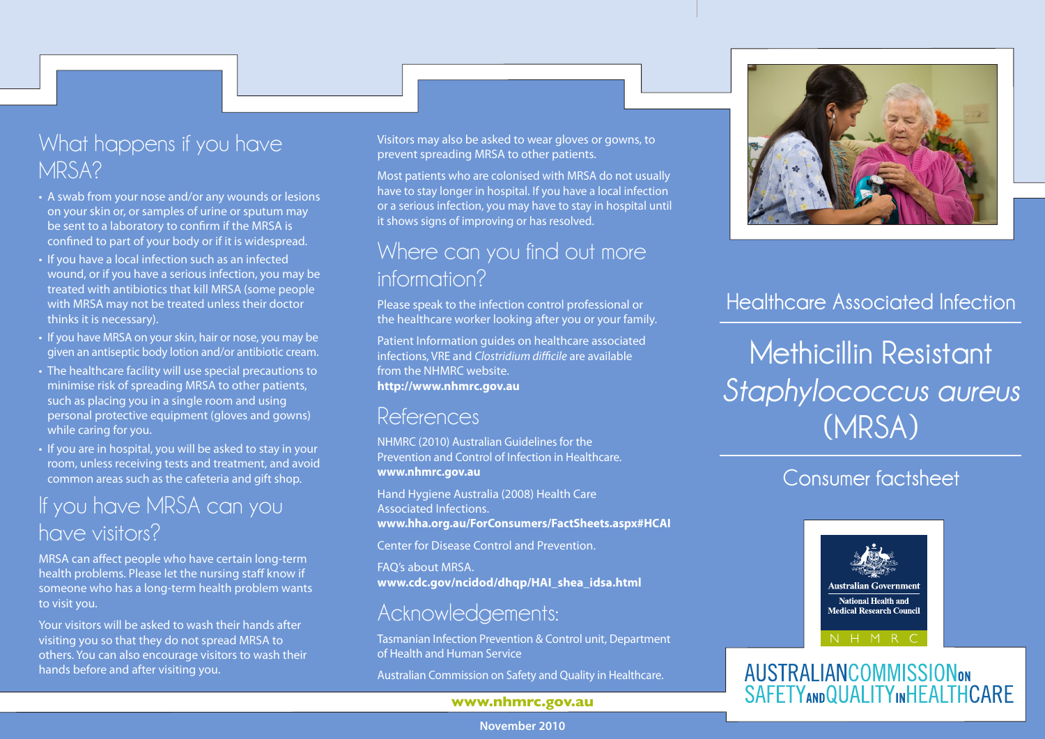#### What happens if you have MRSA?

- A swab from your nose and/or any wounds or lesions on your skin or, or samples of urine or sputum may be sent to a laboratory to confirm if the MRSA is confined to part of your body or if it is widespread.
- If you have a local infection such as an infected wound, or if you have a serious infection, you may be treated with antibiotics that kill MRSA (some people with MRSA may not be treated unless their doctor thinks it is necessary).
- If you have MRSA on your skin, hair or nose, you may be given an antiseptic body lotion and/or antibiotic cream.
- The healthcare facility will use special precautions to minimise risk of spreading MRSA to other patients, such as placing you in a single room and using personal protective equipment (gloves and gowns) while caring for you.
- If you are in hospital, you will be asked to stay in your room, unless receiving tests and treatment, and avoid common areas such as the cafeteria and gift shop.

#### If you have MRSA can you have visitors?

MRSA can affect people who have certain long-term health problems. Please let the nursing staff know if someone who has a long-term health problem wants to visit you.

Your visitors will be asked to wash their hands after visiting you so that they do not spread MRSA to others. You can also encourage visitors to wash their hands before and after visiting you.

Visitors may also be asked to wear gloves or gowns, to prevent spreading MRSA to other patients.

Most patients who are colonised with MRSA do not usually have to stay longer in hospital. If you have a local infection or a serious infection, you may have to stay in hospital until it shows signs of improving or has resolved.

#### Where can you find out more information?

Please speak to the infection control professional or the healthcare worker looking after you or your family.

Patient Information guides on healthcare associated infections, VRE and *Clostridium difficile* are available from the NHMRC website. **http://www.nhmrc.gov.au** 

#### References

NHMRC (2010) Australian Guidelines for the Prevention and Control of Infection in Healthcare. **www.nhmrc.gov.au** 

Hand Hygiene Australia (2008) Health Care Associated Infections. **www.hha.org.au/ForConsumers/FactSheets.aspx#HCAI** 

Center for Disease Control and Prevention.

FAQ's about MRSA. **www.cdc.gov/ncidod/dhqp/HAI\_shea\_idsa.html** 

#### Acknowledgements:

Tasmanian Infection Prevention & Control unit, Department of Health and Human Service

Australian Commission on Safety and Quality in Healthcare.

#### **www.nhmrc.gov.au**



#### **Healthcare Associated Infection**

**Methicillin Resistant**  *Staphylococcus aureus* **(MRSA)**

#### **Consumer factsheet**



#### **AUSTRALIANCOMMISSIONON SAFETYANDQUALITYINHEALTHCARE**

**November 2010**